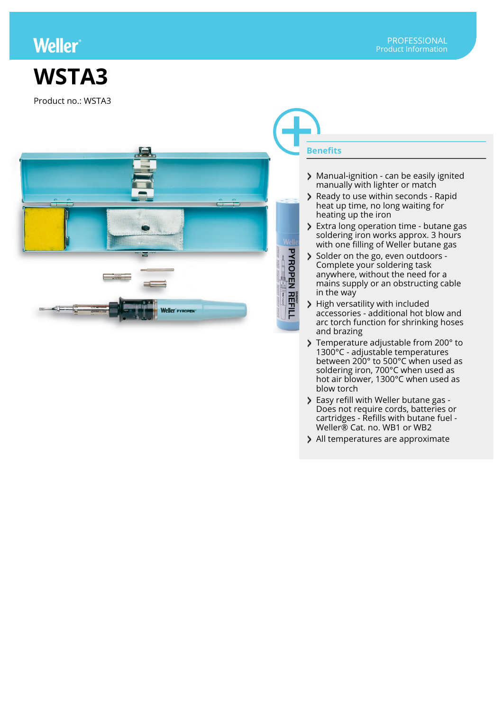## **Weller**

## **WSTA3**

Product no.: WSTA3



## **Benefits**

- > Manual-ignition can be easily ignited manually with lighter or match
- Ready to use within seconds Rapid heat up time, no long waiting for heating up the iron
- **Extra long operation time butane gas** soldering iron works approx. 3 hours with one filling of Weller butane gas
- Solder on the go, even outdoors -Complete your soldering task anywhere, without the need for a mains supply or an obstructing cable in the way
- > High versatility with included accessories - additional hot blow and arc torch function for shrinking hoses and brazing
- Temperature adjustable from 200° to 1300°C - adjustable temperatures between 200° to 500°C when used as soldering iron, 700°C when used as hot air blower, 1300°C when used as blow torch
- Easy refill with Weller butane gas Does not require cords, batteries or cartridges - Refills with butane fuel - Weller® Cat. no. WB1 or WB2
- > All temperatures are approximate